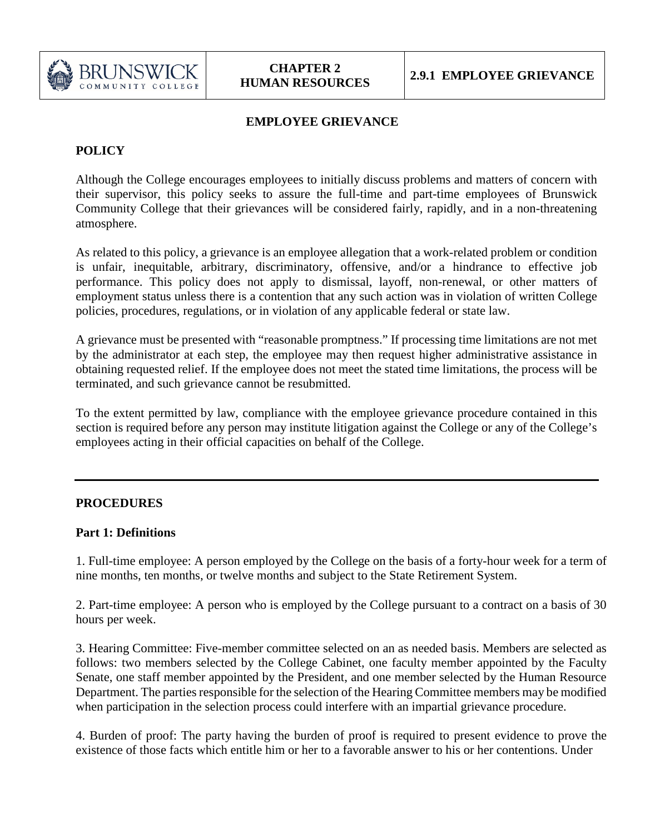

# **EMPLOYEE GRIEVANCE**

# **POLICY**

Although the College encourages employees to initially discuss problems and matters of concern with their supervisor, this policy seeks to assure the full-time and part-time employees of Brunswick Community College that their grievances will be considered fairly, rapidly, and in a non-threatening atmosphere.

As related to this policy, a grievance is an employee allegation that a work-related problem or condition is unfair, inequitable, arbitrary, discriminatory, offensive, and/or a hindrance to effective job performance. This policy does not apply to dismissal, layoff, non-renewal, or other matters of employment status unless there is a contention that any such action was in violation of written College policies, procedures, regulations, or in violation of any applicable federal or state law.

A grievance must be presented with "reasonable promptness." If processing time limitations are not met by the administrator at each step, the employee may then request higher administrative assistance in obtaining requested relief. If the employee does not meet the stated time limitations, the process will be terminated, and such grievance cannot be resubmitted.

To the extent permitted by law, compliance with the employee grievance procedure contained in this section is required before any person may institute litigation against the College or any of the College's employees acting in their official capacities on behalf of the College.

## **PROCEDURES**

#### **Part 1: Definitions**

1. Full-time employee: A person employed by the College on the basis of a forty-hour week for a term of nine months, ten months, or twelve months and subject to the State Retirement System.

2. Part-time employee: A person who is employed by the College pursuant to a contract on a basis of 30 hours per week.

3. Hearing Committee: Five-member committee selected on an as needed basis. Members are selected as follows: two members selected by the College Cabinet, one faculty member appointed by the Faculty Senate, one staff member appointed by the President, and one member selected by the Human Resource Department. The parties responsible for the selection of the Hearing Committee members may be modified when participation in the selection process could interfere with an impartial grievance procedure.

4. Burden of proof: The party having the burden of proof is required to present evidence to prove the existence of those facts which entitle him or her to a favorable answer to his or her contentions. Under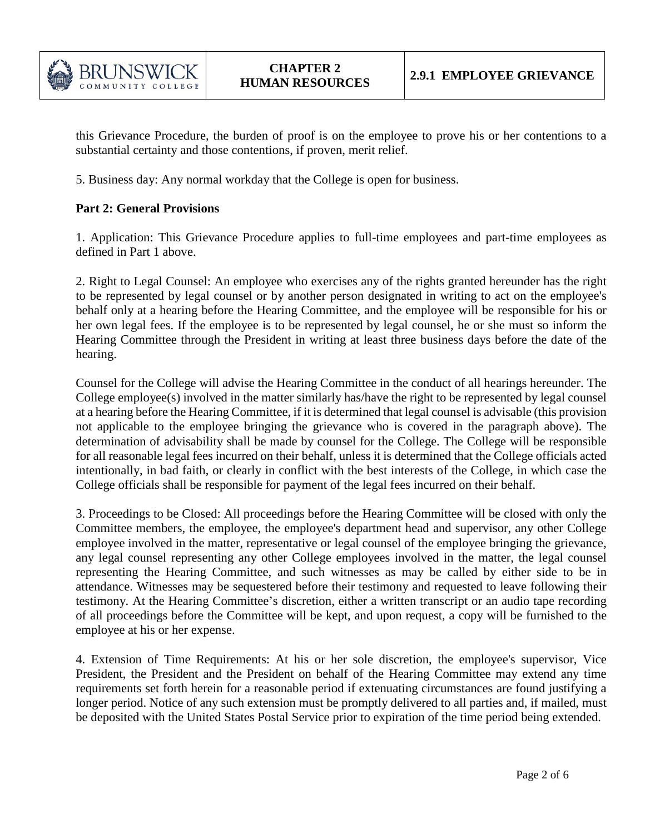

this Grievance Procedure, the burden of proof is on the employee to prove his or her contentions to a substantial certainty and those contentions, if proven, merit relief.

5. Business day: Any normal workday that the College is open for business.

### **Part 2: General Provisions**

1. Application: This Grievance Procedure applies to full-time employees and part-time employees as defined in Part 1 above.

2. Right to Legal Counsel: An employee who exercises any of the rights granted hereunder has the right to be represented by legal counsel or by another person designated in writing to act on the employee's behalf only at a hearing before the Hearing Committee, and the employee will be responsible for his or her own legal fees. If the employee is to be represented by legal counsel, he or she must so inform the Hearing Committee through the President in writing at least three business days before the date of the hearing.

Counsel for the College will advise the Hearing Committee in the conduct of all hearings hereunder. The College employee(s) involved in the matter similarly has/have the right to be represented by legal counsel at a hearing before the Hearing Committee, if it is determined that legal counsel is advisable (this provision not applicable to the employee bringing the grievance who is covered in the paragraph above). The determination of advisability shall be made by counsel for the College. The College will be responsible for all reasonable legal fees incurred on their behalf, unless it is determined that the College officials acted intentionally, in bad faith, or clearly in conflict with the best interests of the College, in which case the College officials shall be responsible for payment of the legal fees incurred on their behalf.

3. Proceedings to be Closed: All proceedings before the Hearing Committee will be closed with only the Committee members, the employee, the employee's department head and supervisor, any other College employee involved in the matter, representative or legal counsel of the employee bringing the grievance, any legal counsel representing any other College employees involved in the matter, the legal counsel representing the Hearing Committee, and such witnesses as may be called by either side to be in attendance. Witnesses may be sequestered before their testimony and requested to leave following their testimony. At the Hearing Committee's discretion, either a written transcript or an audio tape recording of all proceedings before the Committee will be kept, and upon request, a copy will be furnished to the employee at his or her expense.

4. Extension of Time Requirements: At his or her sole discretion, the employee's supervisor, Vice President, the President and the President on behalf of the Hearing Committee may extend any time requirements set forth herein for a reasonable period if extenuating circumstances are found justifying a longer period. Notice of any such extension must be promptly delivered to all parties and, if mailed, must be deposited with the United States Postal Service prior to expiration of the time period being extended.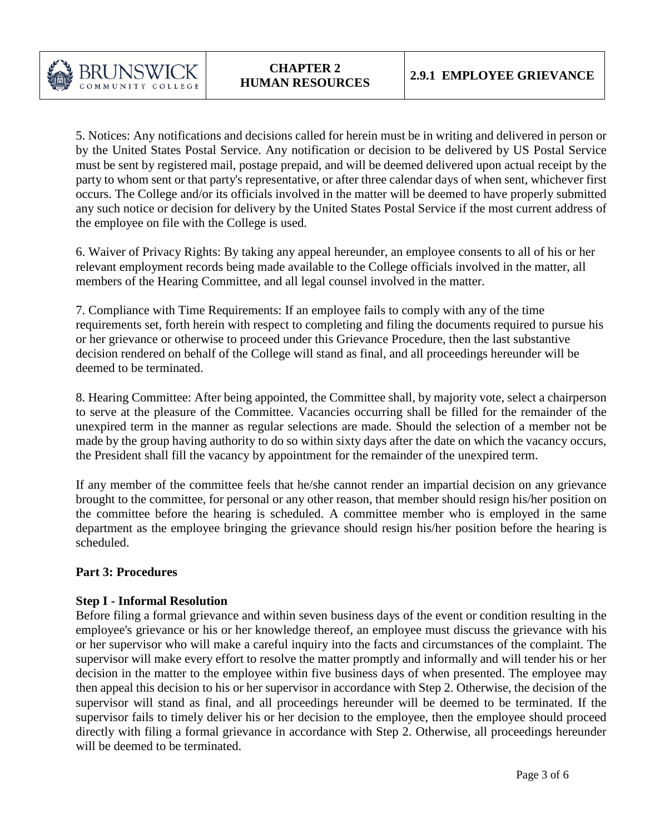5. Notices: Any notifications and decisions called for herein must be in writing and delivered in person or by the United States Postal Service. Any notification or decision to be delivered by US Postal Service must be sent by registered mail, postage prepaid, and will be deemed delivered upon actual receipt by the party to whom sent or that party's representative, or after three calendar days of when sent, whichever first occurs. The College and/or its officials involved in the matter will be deemed to have properly submitted any such notice or decision for delivery by the United States Postal Service if the most current address of the employee on file with the College is used.

6. Waiver of Privacy Rights: By taking any appeal hereunder, an employee consents to all of his or her relevant employment records being made available to the College officials involved in the matter, all members of the Hearing Committee, and all legal counsel involved in the matter.

7. Compliance with Time Requirements: If an employee fails to comply with any of the time requirements set, forth herein with respect to completing and filing the documents required to pursue his or her grievance or otherwise to proceed under this Grievance Procedure, then the last substantive decision rendered on behalf of the College will stand as final, and all proceedings hereunder will be deemed to be terminated.

8. Hearing Committee: After being appointed, the Committee shall, by majority vote, select a chairperson to serve at the pleasure of the Committee. Vacancies occurring shall be filled for the remainder of the unexpired term in the manner as regular selections are made. Should the selection of a member not be made by the group having authority to do so within sixty days after the date on which the vacancy occurs, the President shall fill the vacancy by appointment for the remainder of the unexpired term.

If any member of the committee feels that he/she cannot render an impartial decision on any grievance brought to the committee, for personal or any other reason, that member should resign his/her position on the committee before the hearing is scheduled. A committee member who is employed in the same department as the employee bringing the grievance should resign his/her position before the hearing is scheduled.

## **Part 3: Procedures**

#### **Step I - Informal Resolution**

Before filing a formal grievance and within seven business days of the event or condition resulting in the employee's grievance or his or her knowledge thereof, an employee must discuss the grievance with his or her supervisor who will make a careful inquiry into the facts and circumstances of the complaint. The supervisor will make every effort to resolve the matter promptly and informally and will tender his or her decision in the matter to the employee within five business days of when presented. The employee may then appeal this decision to his or her supervisor in accordance with Step 2. Otherwise, the decision of the supervisor will stand as final, and all proceedings hereunder will be deemed to be terminated. If the supervisor fails to timely deliver his or her decision to the employee, then the employee should proceed directly with filing a formal grievance in accordance with Step 2. Otherwise, all proceedings hereunder will be deemed to be terminated.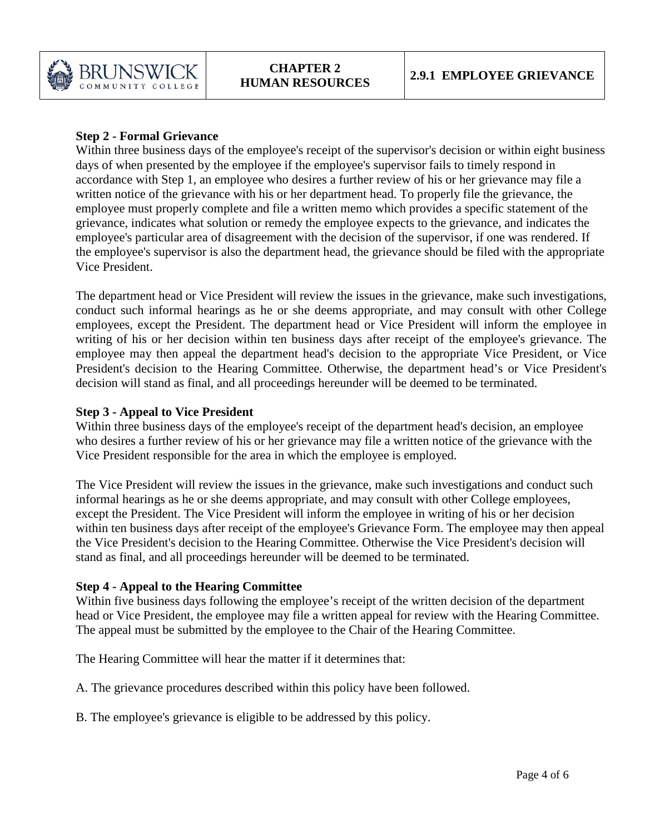

## **Step 2 - Formal Grievance**

Within three business days of the employee's receipt of the supervisor's decision or within eight business days of when presented by the employee if the employee's supervisor fails to timely respond in accordance with Step 1, an employee who desires a further review of his or her grievance may file a written notice of the grievance with his or her department head. To properly file the grievance, the employee must properly complete and file a written memo which provides a specific statement of the grievance, indicates what solution or remedy the employee expects to the grievance, and indicates the employee's particular area of disagreement with the decision of the supervisor, if one was rendered. If the employee's supervisor is also the department head, the grievance should be filed with the appropriate Vice President.

The department head or Vice President will review the issues in the grievance, make such investigations, conduct such informal hearings as he or she deems appropriate, and may consult with other College employees, except the President. The department head or Vice President will inform the employee in writing of his or her decision within ten business days after receipt of the employee's grievance. The employee may then appeal the department head's decision to the appropriate Vice President, or Vice President's decision to the Hearing Committee. Otherwise, the department head's or Vice President's decision will stand as final, and all proceedings hereunder will be deemed to be terminated.

## **Step 3 - Appeal to Vice President**

Within three business days of the employee's receipt of the department head's decision, an employee who desires a further review of his or her grievance may file a written notice of the grievance with the Vice President responsible for the area in which the employee is employed.

The Vice President will review the issues in the grievance, make such investigations and conduct such informal hearings as he or she deems appropriate, and may consult with other College employees, except the President. The Vice President will inform the employee in writing of his or her decision within ten business days after receipt of the employee's Grievance Form. The employee may then appeal the Vice President's decision to the Hearing Committee. Otherwise the Vice President's decision will stand as final, and all proceedings hereunder will be deemed to be terminated.

## **Step 4 - Appeal to the Hearing Committee**

Within five business days following the employee's receipt of the written decision of the department head or Vice President, the employee may file a written appeal for review with the Hearing Committee. The appeal must be submitted by the employee to the Chair of the Hearing Committee.

The Hearing Committee will hear the matter if it determines that:

A. The grievance procedures described within this policy have been followed.

B. The employee's grievance is eligible to be addressed by this policy.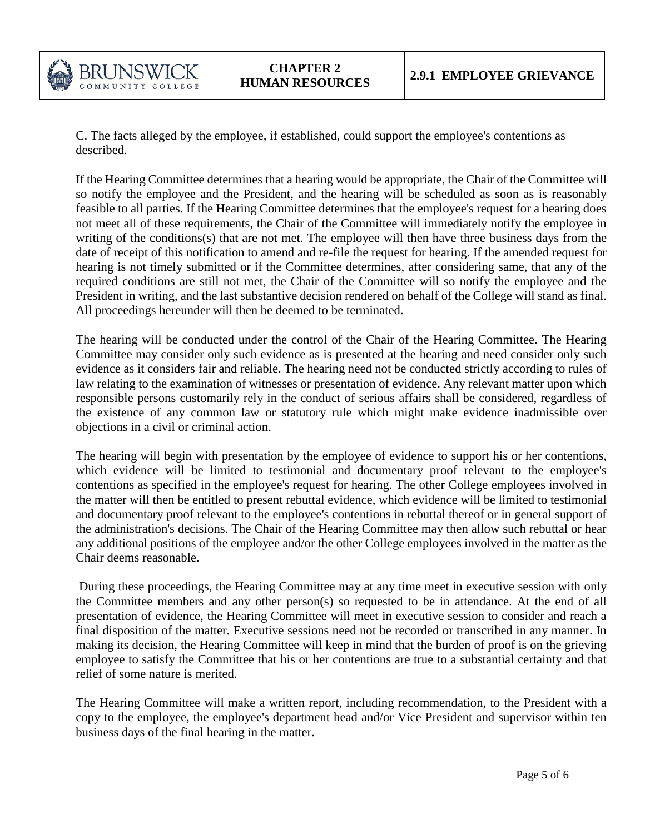

C. The facts alleged by the employee, if established, could support the employee's contentions as described.

If the Hearing Committee determines that a hearing would be appropriate, the Chair of the Committee will so notify the employee and the President, and the hearing will be scheduled as soon as is reasonably feasible to all parties. If the Hearing Committee determines that the employee's request for a hearing does not meet all of these requirements, the Chair of the Committee will immediately notify the employee in writing of the conditions(s) that are not met. The employee will then have three business days from the date of receipt of this notification to amend and re-file the request for hearing. If the amended request for hearing is not timely submitted or if the Committee determines, after considering same, that any of the required conditions are still not met, the Chair of the Committee will so notify the employee and the President in writing, and the last substantive decision rendered on behalf of the College will stand as final. All proceedings hereunder will then be deemed to be terminated.

The hearing will be conducted under the control of the Chair of the Hearing Committee. The Hearing Committee may consider only such evidence as is presented at the hearing and need consider only such evidence as it considers fair and reliable. The hearing need not be conducted strictly according to rules of law relating to the examination of witnesses or presentation of evidence. Any relevant matter upon which responsible persons customarily rely in the conduct of serious affairs shall be considered, regardless of the existence of any common law or statutory rule which might make evidence inadmissible over objections in a civil or criminal action.

The hearing will begin with presentation by the employee of evidence to support his or her contentions, which evidence will be limited to testimonial and documentary proof relevant to the employee's contentions as specified in the employee's request for hearing. The other College employees involved in the matter will then be entitled to present rebuttal evidence, which evidence will be limited to testimonial and documentary proof relevant to the employee's contentions in rebuttal thereof or in general support of the administration's decisions. The Chair of the Hearing Committee may then allow such rebuttal or hear any additional positions of the employee and/or the other College employees involved in the matter as the Chair deems reasonable.

During these proceedings, the Hearing Committee may at any time meet in executive session with only the Committee members and any other person(s) so requested to be in attendance. At the end of all presentation of evidence, the Hearing Committee will meet in executive session to consider and reach a final disposition of the matter. Executive sessions need not be recorded or transcribed in any manner. In making its decision, the Hearing Committee will keep in mind that the burden of proof is on the grieving employee to satisfy the Committee that his or her contentions are true to a substantial certainty and that relief of some nature is merited.

The Hearing Committee will make a written report, including recommendation, to the President with a copy to the employee, the employee's department head and/or Vice President and supervisor within ten business days of the final hearing in the matter.